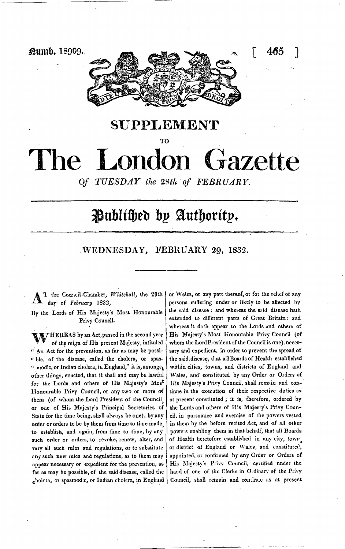

**SUPPLEMENT**

**TO**

# iazette The London

*Of TUESDAY the 2Sth of FEBRUARY.* 

## Publihed by Authority.

### WEDNESDAY, FEBRUARY 29, 1332.

T the Council-Chamber, *Whitehall,* the 29th day of *February* 1832,

By the Lords of His Majesty's Most Honourable Privy Council.

WHEREAS by an Act, passed in the second year of the reign of His present Majesty, intituled *"* An Act for the prevention, as far as may be possi- *"* ble, of the disease, called the cholera, or spas- <sup>"</sup> modic, or Indian cholera, in England," it is, amongs<sub>t</sub> other things, enacted, that it shall and may be lawful for the Lords and others of His Majesty's Mos\* Honourable Privy Council, or any two or more of them (of whom the Lord President of the Council^ or one of His Majesty's Principal Secretaries of State for the time being, shall always be one), by any order or orders to be by them from time to time made^ to establish, and again, from time to time, by any such order or orders, to revoke, renew, alter, and vary all such rules and regulations, or to substitute snysuch new rules and regulations, as to them may appear necessary or expedient for the prevention, as far as may be possible, of the said disease, called the  $_{e}$ holera, or spasmodic, or Indian cholera, in England

or Wales, or any part thereof, or for the relief of any persons suffering under or likely to be affected by the said disease : and whereas the said disease hath extended to different parts of Great Britain: and whereas it doth appear to the Lords and others of His Majesty's Most Honourable Privy Council (of whom the Lord President of the Council is one), necessary and expedient, in order to prevent the spread of the said,disease, that ail Boards of Health established within cities, towns, and districts of England and Wales, and constituted by any Order or Orders of His Majesty's Privy Council, shall remain and continue in the execution of their respective duties as at present constituted j it is, therefore, ordered by the Lords and others of His Majesty's Privy Council, in pursuance and exercise of the powers vested in them by the before recited Act, and of all other powers enabling them in that behalf, that all Boards of Health heretofore established in any city, town or district of England or Wales, and constituted, appointed, or confirmed by any Order or Orders of His Majesty's Privy Council, certified under the hand of one of the Clerks in Ordinary of the Privy Council, shall remain and continue as at present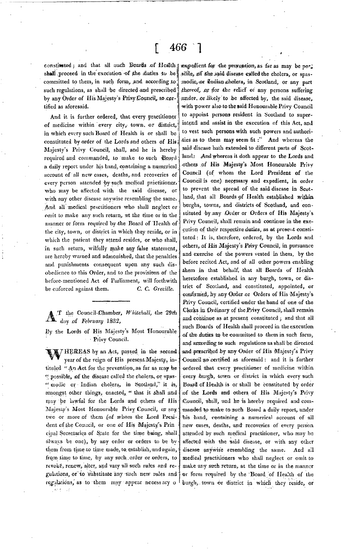shall proceed in the execution of the duties to be committed to them, in such form, ,and according to such regulations, as shall be directed and prescribed by any Order of His Majesty's Privy Council, so certified as aforesaid.

And it is further ordered, that every practitioner of medicine within every city, town, or district, in which every such Board of Health is or shall be constituted by order of the Lords and others of His Majesty's Privy Council, shall, and he is hereby required and commanded, to make to such Board a daily report under his hand, containing a numerical account of 'all new cases, deaths, and recoveries of every person attended by such medical practitioner, who may be affected with the snid disease, or with any other disease anywise resembling the same. And all medical practitioners who shall neglect or omit to make any such return, at the time or in the manner or form required by the Board of Health of the city, town, or district in which they reside, or in which the patient they attend resides, or who shall, in sueh return, wilfully make any false statement, are hereby warned and admonished, that the penalties and punishments consequent upon any such disobedience to this Order, and to the provisions of the before-mentioned Act of Parliament, will forthwith be enforced against them. C. C. *Greiille.*

T the Council-Chamber, Whitehall, the 29th day of February 1832,

By the Lords of His Majesty's Most Honourable Privy Council.

MTHEREAS by an Act, passed in the second year of the reign of His present.Majesty, intituled "An Act for the prevention, as far as may be " possible, of the disease called the cholera, or spas-" modic or Indian cholera, in Scotland," it is, amongst other things, enacted, " that it shall and may be lawful for the Lords and others of His Majesty's Most Honourable Privy Council, or any two or more of them (of whom the Lord President ef the Council, or one of His Majesty's Prin cipal Secretaries of State for the time being, shall always be one), by any order or orders to be by them from time to time made, to establish, and again, from time to time, by any such order or orders, to revoke, renew, alter, and vary all such rules and regulations, or to substitute any such new rules and regulations, as to'them may appear necessary o  $87.5 - 13$ 

constituted ; and that all such Boards of Health argedient for the provention, as far as may be porj .sible, of the said disease called the cholera, or spasmodic, or Indian cholera, in Scotland, or any part thereof, or stor the relief or any persons suffering aunder, or likely to be affected by, the said disease. •with power also to the said Honourable Privy Council to appoint persons resident in Scotland to superintend and assist in the execution of this Act, and (o vest such persons with such powers and authorities as to them may seem fit :" And whereas the said disease hath extended to different parts of Scotland.: And whereas it doth appear to the Lords and others ;of His Majesty's Most Honourable Privy Council (of whom the Lord President of the Council is one) necessary and expedient, in order to prevent the spread of the said disease in Scotland, that all Boards of Health established within burghs, towns, and districts of Scotland, and constituted -by;any Order or Orders of His Majesty's Privy Council, shall remain and continue in the execution of their respective duties, as at present constituted : It is, therefore, ordered, by the Lords and others, of His Majesty's Privy Council, in pursuance and exercise of the powers vested in them, by the before recited Act, and of all other powers enabling them in that behalf, that all Boards of Health heretofore established in any burgh, town, or district of Scotland, and constituted, appointed, or confirmed, by any Order or Orders of His Majesty's Privy Council, certified under the hand of one of the Clerks in Ordinary of the Privy Council, shall remain and continue as at present constituted *;* and that all such Boards of Health shall proceed in the execution of the duties to be committed to them in such form, and arrording to such regulations as shall be directed and prescribed by any Order of His Majesty's Privy Oouneil so certified as aforesaid : and it is further ordered tbat every practitioner of medicine within every burgh, town or district in which every such Board of Health is or shall be constituted by order :of the Lords and others of His Majesty's Privy Council, shall, and he is hereby required and commanded to make to such Board a daily report, under his hand, containing a numerical account of all new eases, deaths, and recoveries of every person attended by such medical practitioner, who may be affected with the said disease, or with any other disease anywise resembling the same. And all medical practitioners who shall neglect or omit to make any such return, at the time or in the manner or form required by the Board of Health of the burgh,. town -or district in which" they reside, or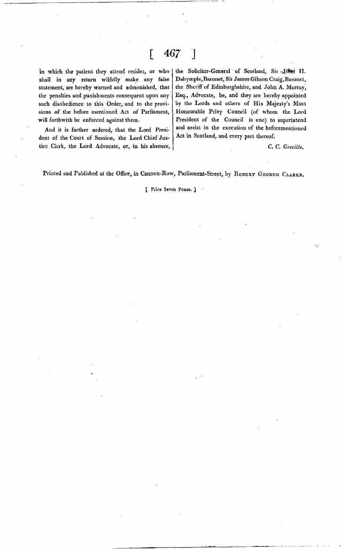### $\lceil 467 \rceil$

in which the patient they attend resides, or who shall in any return wilfully make any false statement, are hereby warned and admonished, that the penalties and punishments consequent upon any such disobedience to this Order, and to the provisions of the before mentioned Act of Parliament, will forthwith be enforced against them.

the Solicitor-General of Scotland, Sir John H. Dalrymple, Baronet, Sir James Gibson Craig, Baronet, the Sheriff of Edinburghshire, and John A. Murray, Esq., Advocate, be, and they are hereby appointed by the Lords and others of His Majesty's Most Honourable Privy Council (of whom the Lord President of the Council is one) to superintend and assist in the execution of the beforementioned Act in Scotland, and every part thereof.

C. *C. Greville.*

And it is further ordered, that the Lord President of the Court of Session, the Lord Chief Justice Clerk, the Lord Advocate, or, in his absence,

Printed and Published at the Office, in Cannon-Row, Parliament-Street, by ROBERT GEORGE CLARKE.

#### [ Price Seven Pence. J